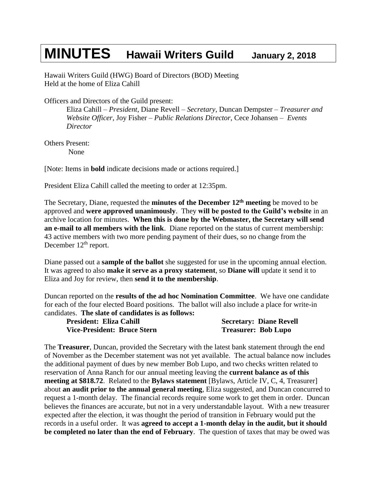## **MINUTES Hawaii Writers Guild January 2, <sup>2018</sup>**

Hawaii Writers Guild (HWG) Board of Directors (BOD) Meeting Held at the home of Eliza Cahill

Officers and Directors of the Guild present:

Eliza Cahill – *President*, Diane Revell – *Secretary*, Duncan Dempster – *Treasurer and Website Officer*, Joy Fisher – *Public Relations Director*, Cece Johansen – *Events Director*

Others Present: None

[Note: Items in **bold** indicate decisions made or actions required.]

President Eliza Cahill called the meeting to order at 12:35pm.

The Secretary, Diane, requested the **minutes of the December 12 th meeting** be moved to be approved and **were approved unanimously**. They **will be posted to the Guild's website** in an archive location for minutes. **When this is done by the Webmaster, the Secretary will send an e-mail to all members with the link**. Diane reported on the status of current membership: 43 active members with two more pending payment of their dues, so no change from the December 12<sup>th</sup> report.

Diane passed out a **sample of the ballot** she suggested for use in the upcoming annual election. It was agreed to also **make it serve as a proxy statement**, so **Diane will** update it send it to Eliza and Joy for review, then **send it to the membership**.

Duncan reported on the **results of the ad hoc Nomination Committee**. We have one candidate for each of the four elected Board positions. The ballot will also include a place for write-in candidates. **The slate of candidates is as follows:**

| <b>President: Eliza Cahill</b> | <b>Secretary: Diane Revell</b> |
|--------------------------------|--------------------------------|
| Vice-President: Bruce Stern    | <b>Treasurer: Bob Lupo</b>     |

The **Treasurer**, Duncan, provided the Secretary with the latest bank statement through the end of November as the December statement was not yet available. The actual balance now includes the additional payment of dues by new member Bob Lupo, and two checks written related to reservation of Anna Ranch for our annual meeting leaving the **current balance as of this meeting at \$818.72**. Related to the **Bylaws statement** [Bylaws, Article IV, C, 4, Treasurer] about **an audit prior to the annual general meeting**, Eliza suggested, and Duncan concurred to request a 1-month delay. The financial records require some work to get them in order. Duncan believes the finances are accurate, but not in a very understandable layout. With a new treasurer expected after the election, it was thought the period of transition in February would put the records in a useful order. It was **agreed to accept a 1-month delay in the audit, but it should be completed no later than the end of February**. The question of taxes that may be owed was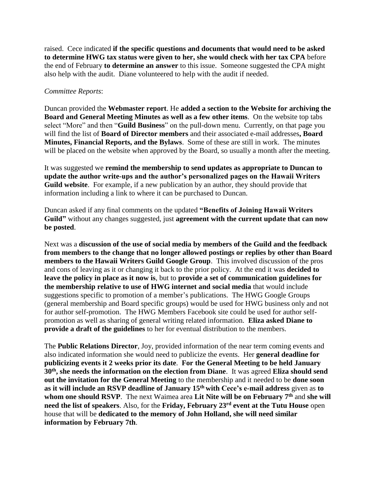raised. Cece indicated **if the specific questions and documents that would need to be asked to determine HWG tax status were given to her, she would check with her tax CPA** before the end of February **to determine an answer** to this issue. Someone suggested the CPA might also help with the audit. Diane volunteered to help with the audit if needed.

## *Committee Reports*:

Duncan provided the **Webmaster report**. He **added a section to the Website for archiving the Board and General Meeting Minutes as well as a few other items**. On the website top tabs select "More" and then "**Guild Business**" on the pull-down menu. Currently, on that page you will find the list of **Board of Director members** and their associated e-mail addresses**, Board Minutes, Financial Reports, and the Bylaws**. Some of these are still in work. The minutes will be placed on the website when approved by the Board, so usually a month after the meeting.

It was suggested we **remind the membership to send updates as appropriate to Duncan to update the author write-ups and the author's personalized pages on the Hawaii Writers Guild website**. For example, if a new publication by an author, they should provide that information including a link to where it can be purchased to Duncan.

Duncan asked if any final comments on the updated **"Benefits of Joining Hawaii Writers Guild"** without any changes suggested, just **agreement with the current update that can now be posted**.

Next was a **discussion of the use of social media by members of the Guild and the feedback from members to the change that no longer allowed postings or replies by other than Board members to the Hawaii Writers Guild Google Group**. This involved discussion of the pros and cons of leaving as it or changing it back to the prior policy. At the end it was **decided to leave the policy in place as it now is**, but to **provide a set of communication guidelines for the membership relative to use of HWG internet and social media** that would include suggestions specific to promotion of a member's publications. The HWG Google Groups (general membership and Board specific groups) would be used for HWG business only and not for author self-promotion. The HWG Members Facebook site could be used for author selfpromotion as well as sharing of general writing related information. **Eliza asked Diane to provide a draft of the guidelines** to her for eventual distribution to the members.

The **Public Relations Director**, Joy, provided information of the near term coming events and also indicated information she would need to publicize the events. Her **general deadline for publicizing events it 2 weeks prior its date**. **For the General Meeting to be held January 30th, she needs the information on the election from Diane**. It was agreed **Eliza should send out the invitation for the General Meeting** to the membership and it needed to be **done soon as it will include an RSVP deadline of January 15th with Cece's e-mail address** given as **to whom one should RSVP**. The next Waimea area **Lit Nite will be on February 7th** and **she will need the list of speakers**. Also, for the **Friday, February 23rd event at the Tutu House** open house that will be **dedicated to the memory of John Holland, she will need similar information by February 7th**.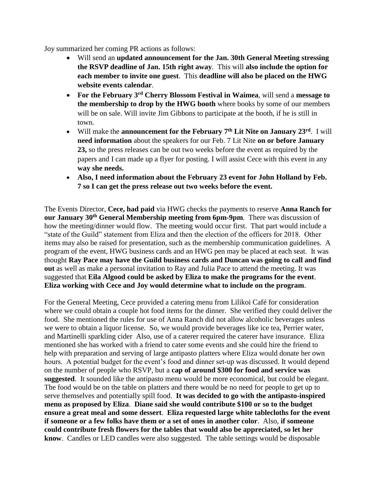Joy summarized her coming PR actions as follows:

- Will send an **updated announcement for the Jan. 30th General Meeting stressing the RSVP deadline of Jan. 15th right away**. This will **also include the option for each member to invite one guest**. This **deadline will also be placed on the HWG website events calendar**.
- **For the February 3rd Cherry Blossom Festival in Waimea**, will send a **message to the membership to drop by the HWG booth** where books by some of our members will be on sale. Will invite Jim Gibbons to participate at the booth, if he is still in town.
- Will make the **announcement for the February 7th Lit Nite on January 23rd** . I will **need information** about the speakers for our Feb. 7 Lit Nite **on or before January 23,** so the press releases can be out two weeks before the event as required by the papers and I can made up a flyer for posting. I will assist Cece with this event in any **way she needs.**
- **Also, I need information about the February 23 event for John Holland by Feb. 7 so I can get the press release out two weeks before the event.**

The Events Director, **Cece, had paid** via HWG checks the payments to reserve **Anna Ranch for our January 30th General Membership meeting from 6pm-9pm**. There was discussion of how the meeting/dinner would flow. The meeting would occur first. That part would include a "state of the Guild" statement from Eliza and then the election of the officers for 2018. Other items may also be raised for presentation, such as the membership communication guidelines. A program of the event, HWG business cards and an HWG pen may be placed at each seat. It was thought **Ray Pace may have the Guild business cards and Duncan was going to call and find out** as well as make a personal invitation to Ray and Julia Pace to attend the meeting. It was suggested that **Eila Algood could be asked by Eliza to make the programs for the event**. **Eliza working with Cece and Joy would determine what to include on the program**.

For the General Meeting, Cece provided a catering menu from Lilikoi Café for consideration where we could obtain a couple hot food items for the dinner. She verified they could deliver the food. She mentioned the rules for use of Anna Ranch did not allow alcoholic beverages unless we were to obtain a liquor license. So, we would provide beverages like ice tea, Perrier water, and Martinelli sparkling cider Also, use of a caterer required the caterer have insurance. Eliza mentioned she has worked with a friend to cater some events and she could hire the friend to help with preparation and serving of large antipasto platters where Eliza would donate her own hours. A potential budget for the event's food and dinner set-up was discussed. It would depend on the number of people who RSVP, but a **cap of around \$300 for food and service was suggested**. It sounded like the antipasto menu would be more economical, but could be elegant. The food would be on the table on platters and there would be no need for people to get up to serve themselves and potentially spill food. **It was decided to go with the antipasto-inspired menu as proposed by Eliza**. **Diane said she would contribute \$100 or so to the budget ensure a great meal and some dessert**. **Eliza requested large white tablecloths for the event if someone or a few folks have them or a set of ones in another color**. Also, **if someone could contribute fresh flowers for the tables that would also be appreciated, so let her know**. Candles or LED candles were also suggested. The table settings would be disposable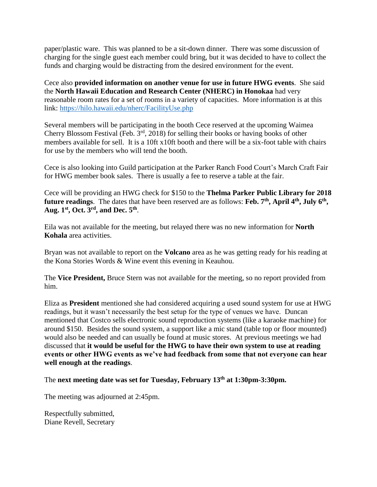paper/plastic ware. This was planned to be a sit-down dinner. There was some discussion of charging for the single guest each member could bring, but it was decided to have to collect the funds and charging would be distracting from the desired environment for the event.

Cece also **provided information on another venue for use in future HWG events**. She said the **North Hawaii Education and Research Center (NHERC) in Honokaa** had very reasonable room rates for a set of rooms in a variety of capacities. More information is at this link:<https://hilo.hawaii.edu/nherc/FacilityUse.php>

Several members will be participating in the booth Cece reserved at the upcoming Waimea Cherry Blossom Festival (Feb. 3rd, 2018) for selling their books or having books of other members available for sell. It is a 10ft x10ft booth and there will be a six-foot table with chairs for use by the members who will tend the booth.

Cece is also looking into Guild participation at the Parker Ranch Food Court's March Craft Fair for HWG member book sales. There is usually a fee to reserve a table at the fair.

Cece will be providing an HWG check for \$150 to the **Thelma Parker Public Library for 2018 future readings**. The dates that have been reserved are as follows: **Feb. 7th, April 4th, July 6th , Aug. 1st, Oct. 3rd, and Dec. 5th** .

Eila was not available for the meeting, but relayed there was no new information for **North Kohala** area activities.

Bryan was not available to report on the **Volcano** area as he was getting ready for his reading at the Kona Stories Words & Wine event this evening in Keauhou.

The **Vice President,** Bruce Stern was not available for the meeting, so no report provided from him.

Eliza as **President** mentioned she had considered acquiring a used sound system for use at HWG readings, but it wasn't necessarily the best setup for the type of venues we have. Duncan mentioned that Costco sells electronic sound reproduction systems (like a karaoke machine) for around \$150. Besides the sound system, a support like a mic stand (table top or floor mounted) would also be needed and can usually be found at music stores. At previous meetings we had discussed that **it would be useful for the HWG to have their own system to use at reading events or other HWG events as we've had feedback from some that not everyone can hear well enough at the readings**.

The **next meeting date was set for Tuesday, February 13th at 1:30pm-3:30pm.** 

The meeting was adjourned at 2:45pm.

Respectfully submitted, Diane Revell, Secretary